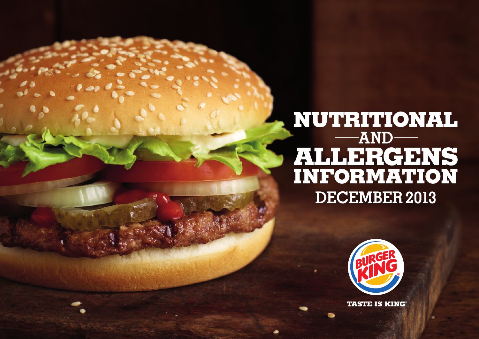## **NUTRITIONAL AND ALLERGENS INFORMATION DECEMBER 2013**



**TASTE IS KING**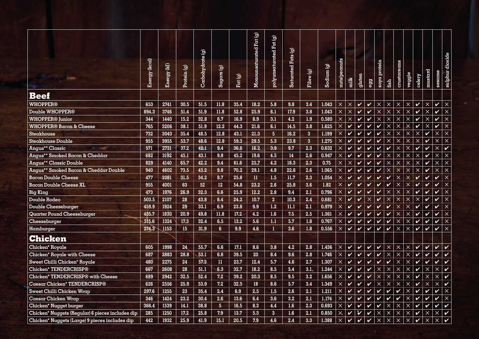|                                                  | Energy (kcal) | Energy (kJ) | Protein (g)      | Carbohydrate (g) | Sugars (g)       | Part(g) | Monounsaturated Fat (g) | polyunsaturated Fat (g) | Saturated Fats (g) | Fibre (g)        | Sodium (g) | nuts/pecmuts | milk                       | gluten                     | egg                        | soya protein               | fish                       | crustaceans | veggie       | celery                     | mustard                    | sescme             | sulphur dioxide            |
|--------------------------------------------------|---------------|-------------|------------------|------------------|------------------|---------|-------------------------|-------------------------|--------------------|------------------|------------|--------------|----------------------------|----------------------------|----------------------------|----------------------------|----------------------------|-------------|--------------|----------------------------|----------------------------|--------------------|----------------------------|
| <b>Beef</b>                                      |               |             |                  |                  |                  |         |                         |                         |                    |                  |            |              |                            |                            |                            |                            |                            |             |              |                            |                            |                    |                            |
| <b>WHOPPER®</b>                                  | 653           | 2741        | 30.5             | 51.5             | 11.8             | 35.4    | 18.2                    | 5.8                     | 9.8                | 3.4              | 1.043      | $\times$     | $\times$                   | V                          | $\checkmark$               | $\times$                   | $\times$                   | $\times$    | $\times$     | $\checkmark$               | $\times$                   | $\checkmark$       | $\times$                   |
| Double WHOPPER®                                  | 894.3         | 3746        | 51.4             | 51.9             | 11.8             | 52.8    | 25.9                    | 6.1                     | 17.9               | 3.8              | 1.043      | $\times$     | $\times$                   | $\checkmark$               | $\checkmark$               | $\times$                   | $\times$                   | $\times$    | $\times$     | $\boldsymbol{v}$           | $\times$                   | $\checkmark$       | $\times$                   |
| <b>WHOPPER® Junior</b>                           | 344           | 1440        | 15.2             | 32.8             | 6.7              | 16.9    | 8.9                     | 3.1                     | 4.2                | 1.9              | 0.580      | $\mathsf X$  | $\times$                   | $\checkmark$               | $\checkmark$               | $\times$                   | $\times$                   | $\times$    | $\times$     | $\checkmark$               | $\times$                   | $\checkmark$       | $\times$                   |
| <b>WHOPPER® Bacon &amp; Cheese</b>               | 765           | 3206        | 38.1             | 51.9             | 12.2             | 44.3    | 21.6                    | 6.1                     | 14.5               | 3.8              | 1.625      | $\times$     | $\checkmark$               | V                          | $\checkmark$               | $\checkmark$               | $\times$                   | $\times$    | $\mathsf X$  | $\boldsymbol{\mathcal{V}}$ | $\times$                   | $\checkmark$       | $\overline{\mathsf{x}}$    |
| Steakhouse                                       | 732           | 3043        | 35.4             | 48.5             | 12.8             | 43.1    | 21.3                    | $\overline{5}$          | 16.2               | $\boldsymbol{3}$ | 1.199      | $\times$     |                            | V                          | V                          | V                          | $\times$                   | $\times$    | $\times$     | $\times$                   | V                          | $\times$           | $\times$                   |
| Steakhouse Double                                | 955           | 3955        | 53.7             | 48.6             | 12.8             | 59.3    | 29.5                    | 5.3                     | 23.8               | $\overline{3}$   | 1.275      | $\times$     |                            | V                          | V                          | V                          | $\times$                   | $\times$    | $\times$     | $\times$                   | $\boldsymbol{\nu}$         | $\times$           | $\times$                   |
| Angus** Classic<br><b>CONTRACT</b>               | 571           | 2731        | 37.2             | 42.1             | 9.4              | 36.6    | 16.2                    | 3.9                     | 9.7                | 2.3              | 0.632      | $\times$     |                            | V                          | V                          | V                          | $\checkmark$               | $\times$    | $\times$     | $\checkmark$               | V                          | $\times$           | $\checkmark$               |
| Angus** Smoked Bacon & Cheddar                   | 682           | 3192        | 45.1             | 43.1             | 9.8              | 45.2    | 19.6                    | 4.5                     | 14                 | 2.6              | 0.947      | $\times$     | $\boldsymbol{\mathcal{U}}$ | V                          | $\checkmark$               | V                          | $\times$                   | $\times$    | $\times$     | $\times$                   | V                          | $\times$           | $\times$                   |
| <b>Angus** Classic Double</b>                    | 829           | 4140        | 65.7             | 42.2             | 9.4              | 61.6    | 25.7                    | 4.2                     | 18.3               | 2.3              | 0.75       | $\times$     | $\times$                   |                            | V                          | $\boldsymbol{\mathcal{U}}$ | X                          | $\times$    | $\times$     | $\times$                   | $\boldsymbol{\mathcal{U}}$ | $\times$           | $\times$                   |
| Angus** Smoked Bacon & Cheddar Double            | 940           | 4602        | 73.5             | 43.2             | 9.8              | 70.2    | 29.1                    | 4.8                     | 22.6               | 2.6              | 1.065      | $\times$     | $\checkmark$               | V                          | $\checkmark$               | $\boldsymbol{\nu}$         | $\times$                   | $\times$    | $\times$     | $\boldsymbol{\mathsf{X}}$  | V                          | $\times$           | $\times$                   |
| <b>Bacon Double Cheese</b>                       | 477           | 2081        | 31.5             | 34.2             | 8.7              | 25.8    | $\mathbf{u}$            | 1.5                     | 11.7               | 2.3              | 1.054      | $\times$     | $\checkmark$               | $\checkmark$               | $\checkmark$               | V                          | $\checkmark$               | $\times$    | $\times$     | <b>V</b>                   | $\checkmark$               | $\checkmark$       | $\times$                   |
| Bacon Double Cheese XL                           | 955           | 4001        | 63               | 52               | 12 <sub>12</sub> | 54.8    | 23.2                    | 2.6                     | 25.8               | 3.6              | 1.82       | $\times$     | ✓                          | V                          | $\checkmark$               | V                          | $\boldsymbol{\mathcal{U}}$ | $\times$    | $\times$     | $\checkmark$               | V                          | V                  | $\times$                   |
| <b>Big King</b>                                  | 473           | 1976        | 26.9             | 32.3             | 6.6              | 25.9    | 12.2                    | 2.8                     | 9.4                | 2.1              | 0.796      | $\times$     |                            | V                          | V                          |                            | $\times$                   | $\times$    | $\times$     | $\boldsymbol{\mathcal{U}}$ | V                          |                    | $\times$                   |
| Double Rodeo                                     | 503.5         | 2107        | 28               | 43.8             | 8.4              | 24.2    | 10.7                    | $\overline{2}$          | 10.3               | 2.4              | 0.681      | $\times$     |                            | V                          | $\times$                   | V                          | $\times$                   | $\times$    | $\times$     | $\times$                   | V                          | $\boldsymbol{\nu}$ | $\times$                   |
| <b>Double Cheeseburger</b>                       | 459.9         | 1924        | 29               | 33.1             | 6.9              | 23.8    | 9.9                     | 1.2                     | 11.1               | 2.1              | 0.979      | $\times$     | $\checkmark$               | V                          | $\checkmark$               | $\checkmark$               | $\checkmark$               | $\times$    | $\times$     | $\boldsymbol{\mathcal{U}}$ | V                          | V                  | $\times$                   |
| Quarter Pound Cheeseburger                       | 435.7         | 1830        | 20.9             | 49.8             | 11.8             | 17.2    | 4.2                     | 1.6                     | 7.5                | 2.5              | 1.361      | $\times$     | $\boldsymbol{\mathcal{U}}$ | $\boldsymbol{\nu}$         | $\checkmark$               | $\boldsymbol{\nu}$         | $\checkmark$               | $\times$    | $\times$     | $\checkmark$               | V                          | $\checkmark$       | $\times$                   |
| Cheeseburger                                     | 315.6         | 1324        | 17.3             | 32.4             | 6.5              | 13.2    | 5.6                     | 1.1                     | 5.7                | 1.8              | 0.767      | $\times$     | $\boldsymbol{\nu}$         | V                          | $\checkmark$               | $\boldsymbol{\nu}$         | $\checkmark$               | $\times$    | $\times$     | $\checkmark$               | V                          | $\checkmark$       | $\times$                   |
| Hamburger                                        | 274.3         | 1153        | 15 <sub>15</sub> | 31.9             | 6                | 9.9     | 4.6                     | 1.                      | 3.6                | 1.8              | 0.556      | $\times$     | $\boldsymbol{v}$           | $\mathbf v$                | $\checkmark$               | $\boldsymbol{\mathcal{V}}$ | $\mathbf v$                | $\times$    | $\times$     | $\mathbf v$                | $\checkmark$               | $\checkmark$       | $\overline{\mathsf{x}}$    |
| Chicken                                          |               |             |                  |                  |                  |         | ÷                       |                         |                    |                  |            |              |                            |                            |                            |                            |                            |             |              |                            |                            |                    |                            |
| Chicken* Royale                                  | 605           | 1998        | 24               | 55.7             | 6.6              | 17.1    | 8.6                     | 3.8                     | 4.2                | 2.8              | 1.436      | $\times$     | $\mathbf{v}$               | V                          | $\mathbf{v}$               | $\boldsymbol{\nu}$         | $\times$                   | $\times$    | $\times$     | $\mathbf v$                | V                          | $\boldsymbol{\nu}$ | $\boldsymbol{\mathcal{U}}$ |
| Chicken* Royale with Cheese                      | 687           | 2883        | 28.8             | 53.1             | 6.8              | 39.5    | 20                      | 8.4                     | 9.6                | 2.8              | 1.746      | $\times$     | $\checkmark$               | $\boldsymbol{q}$           | V                          | V                          | $\times$                   | $\times$    | $\times$     | $\checkmark$               | V                          | $\checkmark$       | $\checkmark$               |
| Sweet Chilli Chicken* Royale                     | 480           | 2275        | 24               | 57.3             | $\mathbf n$      | 23.7    | 12.4                    | 5.7                     | 4.6                | 2.7              | 1.307      | $\times$     | $\boldsymbol{\mathcal{U}}$ | $\checkmark$               | $\checkmark$               | V                          | $\checkmark$               | $\times$    | $\times$     | $\checkmark$               | V                          | $\boldsymbol{\nu}$ | $\boldsymbol{v}$           |
| Chicken* TENDERCRISP®                            | 607           | 2608        | 28               | 51.1             | 6.3              | 32.7    | 18.2                    | 8.5                     | 5.4                | $3.1 -$          | 1.244      | $\times$     | $\boldsymbol{\mathcal{U}}$ | V                          | $\checkmark$               | $\times$                   | $\times$                   | $\times$    | $\mathsf X$  | $\checkmark$               | $\times$                   | $\times$           | $\checkmark$               |
| Chicken* TENDERCRISP <sup>®</sup> with Cheese    | 689           | 2942        | 32.5             | 52.4             | 7.2              | 39.2    | 20.3                    | 8.5                     | 9.5                | 3.2 <sub>2</sub> | 1.656      | $\times$     | $\mathbf v$                | $\checkmark$               | $\boldsymbol{\mathcal{U}}$ | $\times$                   | $\times$                   | $\times$    | $\mathsf{X}$ | V                          | $\times$                   | $\times$           | $\checkmark$               |
| Caesar Chicken* TENDERCRISP®                     | 626           | 2556        | 25.9             | 53.9             | 7.2              | 32.5    | 18                      | 8.6                     | 5.7                | 3.4              | 1.349      | $\times$     | $\checkmark$               | $\boldsymbol{\mathcal{U}}$ | $\checkmark$               | $\times$                   | $\times$                   | $\times$    | $\times$     | $\checkmark$               | $\times$                   | $\times$           | $\checkmark$               |
| Sweet Chilli Chicken Wrap                        | 297.6         | 1255        | 23               | 35.4             | 2.4              | 6.9     | 2.5                     | 1.5                     | 2.6                | 2.1              | 1.211      | $\times$     | $\boldsymbol{\nu}$         | V                          | $\checkmark$               | V                          | $\checkmark$               | V           | $\times$     | $\checkmark$               | V                          | $\checkmark$       | $\times$                   |
| Caesar Chicken Wrap                              | 346           | 1424        | 23.2             | 30.4             | 2.6              | 13.6    | 6.4                     | 3.6                     | 3.2                | 2.1              | 1.174      | $\times$     | $\mathbf v$                | V                          | $\checkmark$               | $\boldsymbol{\nu}$         | V                          | V           | $\times$     | V                          | V                          | $\checkmark$       | $\times$                   |
| Chicken* Nugget burger                           | 366.4         | 1539        | 14.1             | 38.8             | $5\overline{)}$  | 16.5    | 8.3                     | 4.4                     | 1.6                | 2.3              | 0.693      | $\times$     | $\checkmark$               | V                          | $\boldsymbol{\mathcal{U}}$ | V                          | $\times$                   | $\times$    | $\mathsf{X}$ | $\checkmark$               | V                          | V                  | $\checkmark$               |
| Chicken* Nuggets (Regular) 6 pieces includes dip | 285           | 1250        | 17.2             | 25.8             | 7.9              | 13.7    | 5.3                     | $\overline{3}$          | 1.6                | 2.1              | 0.850      | $\times$     | $\checkmark$               | $\overline{\mathsf{v}}$    | $\checkmark$               | $\times$                   | $\times$                   | $\times$    | $\times$     | $\checkmark$               | $\times$                   | $\times$           | $\boldsymbol{v}$           |
| Chicken* Nuggets (Large) 9 pieces includes dip   | 442           | 1932        | 25.9             | 41.9             | 15.1             | 20.5    | 7.9                     | 4.6                     | 2.4                | 3.3              | 1.388      | $\times$     | $\boldsymbol{\mathcal{U}}$ | V                          | $\boldsymbol{\mathcal{U}}$ | $\times$                   | X                          | $\times$    | $\times$     | $\boldsymbol{\mathcal{U}}$ | $\times$                   | $\times$           |                            |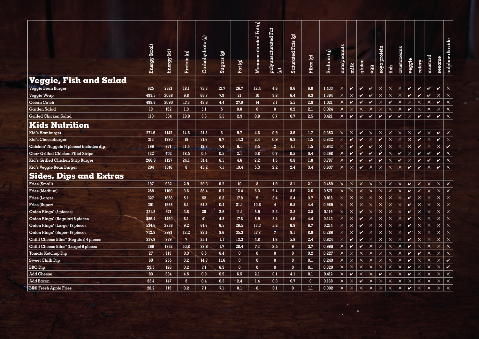|                                          | Energy (kcal) | Energy (kJ) | Protein (g)    | Carbohydrate (g) | Sugars (g)     | Part(g)                 | Monounsaturated Fat (g) | polyunsaturated Fat<br>$\widehat{\Theta}$ | <b>Saturated Fats (g)</b> | Fibre (g)    | Sodium (g) | nuts/pecmuts              | milk             | gluten             | egg          | soya protein            | fish         | crustaceans  | veggie                     | celery       | mustard      | sescme                               | sulphur dioxide         |
|------------------------------------------|---------------|-------------|----------------|------------------|----------------|-------------------------|-------------------------|-------------------------------------------|---------------------------|--------------|------------|---------------------------|------------------|--------------------|--------------|-------------------------|--------------|--------------|----------------------------|--------------|--------------|--------------------------------------|-------------------------|
| Veggie, Fish and Salad                   |               |             |                |                  |                |                         |                         |                                           |                           |              |            |                           |                  |                    |              |                         |              |              |                            |              |              |                                      |                         |
| Veggie Bean Burger                       | 625           | 2621        | 18.1           | 75.3             | 12.7           | 26.7                    | 12.4                    | 4.6                                       | 8.6                       | 6.8          | 1.403      | $\times$                  | $\boldsymbol{v}$ | $\checkmark$       | $\checkmark$ | $\times$                | $\times$     | $\times$     | V                          | $\checkmark$ | $\checkmark$ | $\checkmark$                         | $\mathsf X$             |
| Veggie Wrap                              | 493.5         | 2068        | 9.8            | 63.7             | 7.9            | 21                      | 10 <sup>°</sup>         | 3.8                                       | 6.4                       | 6.3          | 1.394      | $\bar{\mathsf{x}}$        | $\times$         | $\bullet$          | $\checkmark$ | $\times$                | $\times$     | $\times$     | V                          | $\checkmark$ | $\checkmark$ | $\mathsf X$                          | $\mathsf X$             |
| Ocean Catch                              | 498.6         | 2090        | 17.3           | 43.6             | 4.4            | 27.9                    | 14                      | 7.1                                       | 5.5                       | 2.8          | 1.021      | $\mathsf X$               | $\checkmark$     | $\checkmark$       | $\checkmark$ | $\times$                | $\checkmark$ | $\mathsf X$  | $\times$                   | $\times$     | $\times$     | $\checkmark$                         | $\mathsf{\times}$       |
| Garden Salad                             | 18            | 132         | 1.3            | 5.1              | 5 <sub>1</sub> | 0.8                     | $\mathbf{0}$            | $\mathbf{0}$                              | 0.2                       | 2.1          | 0.024      | $\times$                  | $\times$         | $\times$           | $\times$     | $\times$                | $\times$     | $\mathsf X$  | $\checkmark$               | $\times$     | $\times$     | $\times$                             | $\mathsf{\times}$       |
| Grilled Chicken Salad                    | 113           | 534         | 19.8           | 5.6              | 5.5            | 2.9                     | 0.8                     | 0.7                                       | 0.7                       | 2.5          | 0.421      | $\times$                  | $\bullet$        | $\checkmark$       | $\checkmark$ | $\checkmark$            | $\checkmark$ | $\checkmark$ | $\times$                   | $\checkmark$ | $\checkmark$ | $\checkmark$                         | $\times$                |
| Kids Nutrition                           |               |             |                |                  |                |                         |                         |                                           |                           |              |            |                           |                  |                    |              |                         |              |              |                            |              |              |                                      |                         |
| Kid's Hamburger                          | 271.6         | 1142        | 14.8           | 31.8             | 6 <sup>1</sup> | 9.7                     | 4.6                     | 0.9                                       | 3.6                       | 1.7          | 0.383      | $\times$                  | $\times$         | $\checkmark$       | $\times$     | $\times$                | $\times$     | $\times$     | $\times$                   | $\checkmark$ | $\times$     | $\mathbf{v}$                         | $\times$                |
| Kid's Cheeseburger                       | 313           | 1380        | 18             | 31.6             | 6.7            | 14.3                    | 2.4                     | 0.9                                       | 6.3                       | $1.5$        | 0.632      | $\mathsf{X}^{\mathbb{C}}$ | $\checkmark$     | $\checkmark$       | $\times$     | $\checkmark$            | $\times$     | $\times$     | $\times$                   | $\checkmark$ | $\times$     | $\checkmark$                         | $\times$                |
| Chicken* Nuggets (4 pieces) includes dip | 199           | 871         | 11.5           | 19.3             | 7.4            | 9.1                     | 3.5                     | $\overline{2}$                            | 1.1                       | 1.5          | 0.642      | $\times$                  | $\mathbf v$      | $\checkmark$       | $\mathbf v$  | $\times$                | $\times$     | $\times$     | $\times$                   | $\checkmark$ | $\times$     | $\times$                             | $\mathbf{v}$            |
| Char-Grilled Chicken Fillet Strips       | 122           | 402         | 18.5           | 0.5              | 0.5            | 2.1                     | 0.8                     | 0.7                                       | 0.5                       | 0.4          | 0.398      | $\mathsf X$               | $\mathbf v$      | $\boldsymbol{\nu}$ | $\checkmark$ | $\overline{\mathbf{v}}$ | $\times$     | $\checkmark$ | $\times$                   | $\checkmark$ | $\checkmark$ | $\checkmark$                         | $\mathsf{x}$            |
| Kid's Grilled Chicken Strip Burger       | 266.9         | 1127        | 24.1           | 31.4             | 6.5            | 4.6                     | 2.2                     | 1.5                                       | 0.8                       | 1.8          | 0.787      | $\times$                  | Ø                | $\checkmark$       | $\mathbf v$  | $\mathbf v$             | $\times$     | $\bullet$    | $\times$                   | $\checkmark$ | $\checkmark$ | $\checkmark$                         | $\overline{\mathsf{x}}$ |
| Kid's Veggie Bean Burger                 | 294           | 1316        | 8 <sup>1</sup> | 45.2             | 7.1            | 10.4                    | 5.3                     | 2.2                                       | 2.4                       | 3.4          | 0.637      | $\times$                  | $\times$         | $\checkmark$       | $\times$     | $\times$                | $\times$     | $\times$     | $\mathbf v$                | $\mathbf v$  | $\times$     | $\mathbf{v}$                         | $\overline{\mathbf{x}}$ |
| <b>Sides, Dips and Extras</b>            |               |             |                |                  |                |                         |                         |                                           |                           |              |            |                           |                  |                    |              |                         |              |              |                            |              |              |                                      |                         |
| Fries (Small)                            | 197           | 932         | 2.9            | 29.3             | 0.2            | 10 <sup>°</sup>         | 5 <sub>1</sub>          | 1.9                                       | 3.1                       | 2.1          | 0.459      | $\times$                  | $\times$         | $\times$           | $\times$     | $\times$                | $\times$     | $\times$     | $\checkmark$               | $\times$     | $\times$     | $\times$                             | $\mathsf{x}$            |
| Fries (Medium)                           | 258           | 1160        | 3.6            | 36.4             | 0.2            | 12.4                    | 6.3                     | 2.4                                       | 3.8                       | 2.6          | 0.571      | $\times$                  | $\times$         | $\times$           | $\times$     | $\times$                | $\times$     | $\times$     | V                          | $\mathsf{X}$ | $\times$     | $\mathsf{X}^{\scriptscriptstyle{+}}$ | $\mathsf{\times}$       |
| Fries (Large)                            | 327           | 1658        | 5.1            | 52               | 0.3            | 17.8                    | 9 <sup>°</sup>          | 3.4                                       | 5.4                       | 3.7          | 0.816      | $\times$                  | $\times$         | $\times$           | $\times$     | $\times$                | $\times$     | $\times$     | $\boldsymbol{\mathcal{U}}$ | $\times$     | $\times$     | $\times$                             | $\times$                |
| <b>Fries (Super)</b>                     | 391           | 1968        | 6.1            | 61.8             | 0.4            | 21.1                    | 10.6                    | $\overline{4}$                            | 6.5                       | 4.4          | 0.969      | $\times$                  | $\times$         | $\times$           | $\times$     | $\times$                | $\times$     | $\times$     | V                          | $\times$     | $\times$     | $\times$                             | $\times$                |
| Onion Rings* (5 pieces)                  | 231.8         | 971         | 3.8            | 28               | 2.6            | 11.1                    | 5.9                     | 2.3                                       | 2.5                       | 2.5          | 0.119      | $\mathsf{X}$              | $\times$         | $\checkmark$       | $\times$     | $\times$                | $\times$     | $\times$     | V                          | $\times$     | $\times$     | $\times$                             | $\times$                |
| Onion Rings* (Regular) 8 pieces          | 356.4         | 1490        | 6.1            | 41               | 4.3            | 17.6                    | 8.9                     | 3.4                                       | 4.6                       | 4.4          | 0.143      | $\mathsf X$               | $\times$         | $\checkmark$       | $\times$     | $\times$                | $\times$     | $\times$     | $\checkmark$               | $\times$     | $\times$     | $\times$                             | $\times$                |
| Onion Rings* (Large) 12 pieces           | 534.6         | 2236        | 9.2            | 61.6             | 6.5            | 26.5                    | 13.3                    | 5.2                                       | 6.8                       | 6.7          | 0.214      | $\times$                  | $\times$         | $\checkmark$       | $\times$     | $\times$                | $\times$     | $\times$     | $\checkmark$               | $\times$     | $\times$     | $\times$                             | $\mathsf{\times}$       |
| Onion Rings* (Super) 16 pieces           | 712.8         | 2981        | 12.2           | 82.1             | 8.6            | 35.3                    | 17.8                    | 7                                         | 9.1                       | 8.9          | 0.286      | $\times$                  | $\times$         | $\checkmark$       | $\times$     | $\times$                | $\times$     | $\times$     | V                          | $\times$     | $\times$     | $\times$                             | $\times$                |
| Chilli Cheese Bites* (Regular) 4 pieces  | 237.9         | 879         | 7 <sup>2</sup> | 25.1             | 1.1            | 13.3                    | 4.8                     | 1.6                                       | 5.9                       | 2.4          | 0.624      | $\mathsf X$               | $\mathbf v$      | $\checkmark$       | $\times$     | $\times$                | $\times$     | $\times$     | V                          | $\times$     | $\times$     | $\times$                             | $\times$                |
| Chilli Cheese Bites* (Large) 6 pieces    | 366           | 1352        | 10.8           | 38.6             | 1.7            | 20.4                    | 7.3                     | 2.5                                       | 9                         | 3.7          | 0.960      | $\times$                  | V                | $\checkmark$       | $\times$     | $\times$                | $\times$     | X            | $\checkmark$               | $\times$     | $\times$     | $\times$                             | $\times$                |
| Tomato Ketchup Dip                       | 27            | $-113$      | 0.3            | 6.5              | 6.4            | $\overline{0}$          | $\mathbf{0}$            | $\mathbf{0}$                              | $\mathbf{0}$              | 0.2          | 0.227      | $\mathsf X$               | $\times$         | $\times$           | $\times$     | $\times$                | $\mathsf X$  | $\times$     | $\boldsymbol{\phi}$        | $\checkmark$ | $\times$     | $\times$                             | $\times$                |
| <b>Sweet Chilli Dip</b>                  | 60            | 255         | 0.2            | 14.8             | 11.6           | $\overline{0}$          | $\mathbf{0}$            | $\mathbf{0}$                              | $\mathbf{0}$              | 0.1          | 0.249      | $\times$                  | $\times$         | $\times$           | $\times$     | $\times$                | $\times$     | $\times$     | $\checkmark$               | $\times$     | $\times$     | $\times$                             | $\mathbf{v}$            |
| <b>BBQ</b> Dip                           | 29.5          | 126         | 0.2            | 7.1              | 6.3            | $\overline{\mathbf{0}}$ | $\mathbf{0}$            | $\mathbf{0}$                              | $\mathbf{0}$              | 0.1          | 0.320      | $\mathsf X$               | $\mathsf X$      | $\times$           | $\times$     | $\times$                | $\times$     | $\times$     | V                          | $\times$     | $\times$     | $\times$                             | $\checkmark$            |
| <b>Add Cheese</b>                        | 83            | 334         | 4.5            | 0.9              | 0.9            | 6.5                     | 2.1                     | 0.1                                       | 4.1                       | 0.1          | 0.412      | $\mathsf X$               | $\boldsymbol{v}$ | $\times$           | $\times$     | $\checkmark$            | $\times$     | $\times$     | V                          | $\times$     | $\times$     | $\times$                             | $\times$                |
| Add Bacon                                | 35.4          | 147         | 3 <sup>1</sup> | 0.4              | 0.3            | 2.4                     | 1.4                     | 0.3                                       | 0.7                       | $\mathbf{0}$ | 0.168      | $\times$                  | $\times$         | $\checkmark$       | $\times$     | $\times$                | $\times$     | $\times$     | $\times$                   | $\times$     | $\times$     | $\times$                             | $\times$                |
| <b>BK®</b> Fresh Apple Fries             | 28.2          | 119         | 0.2            | 7.1              | 7.1            | 0.1                     | $\overline{0}$          | 0.1                                       | $\mathbf{0}$              | 1.1          | 0.002      | $\times$                  | $\mathsf X$      | $\times$           | $\times$     | $\times$                | $\times$     | $\times$     | V                          | $\times$     | $\times$     | $\times$                             | $\times$                |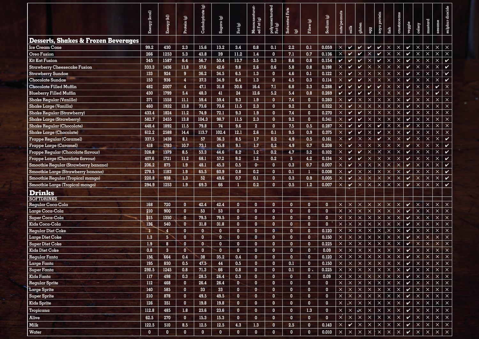|                                                | Energy (kcal) | Energy (kJ)     | Protein (g)                  | Carbohydrate (g) | Sugars(g)    | Fat (g)                      | Monounsaturat-<br>ed Fat (g) | polyunsaturated<br>Fat (g)   | Saturated Fats<br>$\widehat{\mathbf{G}}$ | Fibre (g)                    | $\text{Sodium}(g)$    | nuts/pecmuts            | $_{\rm{milk}}$             | gluten                  | egg                  | soya protein            | fish                 | crustaceans             | veggie                      | celery               | mustard                 | sescrme                 | sulphur dioxide            |
|------------------------------------------------|---------------|-----------------|------------------------------|------------------|--------------|------------------------------|------------------------------|------------------------------|------------------------------------------|------------------------------|-----------------------|-------------------------|----------------------------|-------------------------|----------------------|-------------------------|----------------------|-------------------------|-----------------------------|----------------------|-------------------------|-------------------------|----------------------------|
| <b>Desserts, Shakes &amp; Frozen Beverages</b> |               |                 |                              |                  |              |                              |                              |                              |                                          |                              |                       |                         |                            |                         |                      |                         |                      |                         |                             |                      |                         |                         |                            |
| Ice Cream Cone                                 | 99.2          | 430             | 2.3                          | 15.6             | 13.2         | 3.4                          | 0.8                          | 0.1                          | 2.2                                      | 0.1                          | 0.059                 | $\times$                | $\boldsymbol{\mathcal{U}}$ | $\checkmark$            | $\checkmark$         | $\checkmark$            | $\times$             | $\times$                | $\checkmark$                | $\times$             | $\times$                | $\times$                | $\times$                   |
| Oreo Fusion                                    | 266           | 1253            | 5.3                          | 43.8             | 39           | 11.2                         | 1.4                          | $\mathbf{0}$                 | 7.1                                      | 0.7                          | 0.136                 | $\times$                | $\overline{\mathbf{v}}$    | $\mathbf v$             | $\times$             | $\checkmark$            | $\times$             | $\times$                | $\checkmark$                | $\times$             | $\times$                | $\times$                | $\overline{\mathsf{x}}$    |
| Kit Kat Fusion                                 | 345           | 1587            | 6.4                          | 56.7             | 50.4         | 13.7                         | 3.5                          | 0.3                          | 8.6                                      | 0.8                          | 0.154                 | V                       | $\checkmark$               | V                       | $\times$             | $\checkmark$            | $\times$             | $\times$                | $\checkmark$                | $\times$             | $\times$                | $\times$                | $\checkmark$               |
| Strawberry Cheesecake Fusion                   | 333.3         | 1436            | 11.8                         | 57.6             | 42.6         | 9.8                          | 2.6                          | 0.6                          | $5.8\,$                                  | 0.8                          | 0.198                 | $\times$                | $\checkmark$               | V                       | $\times$             | $\times$                | $\times$             | $\times$                | $\checkmark$                | $\times$             | $\boldsymbol{\times}$   | $\times$                | $\checkmark$               |
| Strawberry Sundae                              | 133           | 924             | 9                            | 36.2             | 34.5         | 6.5                          | 1.3                          | $\mathbf{0}$                 | 4.6                                      | 0.1                          | 0.122                 | $\times$                | $\checkmark$               | $\times$                | $\times$             | $\times$                | $\times$             | $\times$                | $\checkmark$                | $\times$             | $\times$                | $\times$                | $\boldsymbol{\mathsf{v}}$  |
| Chocolate Sundae                               | 153           | 936             | $\overline{4}$               | 37.3             | 34.9         | 6.4                          | $1.3\,$                      | $\mathbf{0}$                 | 4.5                                      | 0.3                          | 0.114                 | $\times$                | V                          | $\mathbf{v}$            | $\times$             | $\times$                | $\times$             | $\times$                | $\checkmark$                | $\times$             | $\boldsymbol{\times}$   | $\times$                | $\checkmark$               |
| Chocolate Filled Muffin                        | 482           | 2007            | $\overline{4}$               | 47.1             | 31.8         | 30.6                         | 16.4                         | 7.1                          | 6.8                                      | 3.3                          | 0.288                 | V                       | $\checkmark$               | $\checkmark$            | V                    | $\boldsymbol{v}$        | $\times$             | $\times$                | $\checkmark$                | $\times$             | $\times$                | V                       | $\times$                   |
| <b>Blueberry Filled Muffin</b>                 | 430           | 1799            | 5.4                          | 48.3             | 41           | 24                           | 12.6                         | 5.2                          | 5.4                                      | 0.8                          | 0.269                 | V                       | $\checkmark$               | $\mathbf v$             | V                    | $\times$                | $\times$             | $\overline{\mathsf{x}}$ | $\checkmark$                | $\times$             | $\times$                |                         | $\times$                   |
| Shake Regular (Vanilla)                        | 371           | 1558            | $11.1\,$                     | 59.4             | 59.4         | 9.3                          | 1.9                          | $\mathbf{0}$                 | 7.4                                      | $\mathbf{0}$                 | 0.260                 | $\times$                | $\checkmark$               | $\times$                | $\times$             | $\times$                | $\times$             | $\times$                | $\boldsymbol{\mathcal{U}}$  | $\times$             | $\times$                | $\times$                | $\times$                   |
| Shake Large (Vanilla)                          | 460           | 1932            | 13.8                         | 73.6             | 73.6         | 11.5                         | 2.3                          | $\mathbf{0}$                 | 9.2                                      | $\mathbf{0}$                 | 0.322                 | $\times$                | $\checkmark$               | $\times$                | $\times$             | $\times$                | $\times$             | $\times$                | $\checkmark$                | $\times$             | $\times$                | $\times$                | $\times$                   |
| Shake Regular (Strawberry)                     | 433.4         | 1824            | 11.2                         | 74.9             | 72.1         | 9.3                          | 1.9                          | $\mathbf{0}$                 | 7.4                                      | $\mathbf{0}$                 | 0.270                 | $\times$                | $\checkmark$               | $\mathbf v$             | $\times$             | $\times$                | $\times$             | $\times$                | $\checkmark$                | $\times$             | $\times$                | $\times$                | $\times$                   |
| Shake Large (Strawberry)                       | 582.7         | 2455            | 13.8                         | 104.3            | 98.7         | 11.5                         | 2.3                          | $\mathbf{0}$                 | 9.2                                      | $\mathbf{0}$                 | 0.341                 | $\times$                | $\checkmark$               | $\mathbf v$             | $\mathsf X$          | $\times$                | $\times$             | $\times$                | $\checkmark$                | $\times$             | $\times$                | $\times$                | $\times$                   |
| Shake Regular (Chocolate)                      | 448.4         | 1892            | 11.5                         | 79.8             | 74           | 9.6                          | $\overline{2}$               | $\mathbf{0}$                 | 7.5                                      | 0.5                          | 0.287                 | $\times$                | $\checkmark$               | $\mathbf v$             | $\times$             | $\checkmark$            | $\times$             | $\times$                | $\checkmark$                | $\times$             | $\times$                | $\times$                | $\times$                   |
| Shake Large (Chocolate)                        | 612.2         | 2588            | 14.4                         | 113.7            | 102.4        | 12.1                         | 2.6                          | 0.1                          | 9.5                                      | 0.9                          | 0.375                 | $\times$                | $\checkmark$               | $\mathbf v$             | $\times$             | $\checkmark$            | $\times$             | $\times$                | $\checkmark$                | $\times$             | $\boldsymbol{\times}$   | $\times$                | $\times$                   |
| Frappe Regular (Caramel)                       | 337.5         | 1438            | 8.1                          | 57               | 36.3         | 8.5                          | 1.7                          | 0.2                          | 4.9                                      | 0.5                          | 0.161                 | $\times$                | V                          | $\times$                | $\times$             | <b>Q</b>                | $\times$             | $\times$                | $\checkmark$                | $\times$             | $\times$                | $\times$                | $\checkmark$               |
| Frappe Large (Caramel)                         | 418           | 1783            | 10.7                         | 73.1             | 45.8         | 9.1                          | 1.7                          | 0.2                          | 4.9                                      | 0.7                          | 0.208                 | $\times$                | $\boldsymbol{\mathcal{U}}$ | $\times$                | $\times$             | $\times$                | $\times$             | $\times$                |                             | $\times$             | $\times$                | $\times$                | $\checkmark$               |
| Frappe Regular (Chocolate flavour)             | 326.8         | 1379            | 8.5                          | 53.3             | 44.6         | 8.2                          | 1.2                          | 0.2                          | 4.7                                      | 3.2                          | 0.102                 | $\times$                | V                          | $\boldsymbol{\nu}$      | $\times$             | $\boldsymbol{\times}$   | $\times$             | $\times$                | $\checkmark$                | $\times$             | $\times$                | $\times$                | $\boldsymbol{\mathcal{U}}$ |
| Frappe Large (Chocolate flavour)               | 407.6         | 1721            | 11.2                         | 68.1             | 57.2         | 9.2                          | 1.2                          | 0.2                          | 5 <sub>1</sub>                           | 4.2                          | 0.134                 | $\times$                | $\checkmark$               | $\checkmark$            | $\times$             | $\times$                | $\times$             | $\times$                | $\checkmark$                | $\times$             | $\times$                | $\times$                | $\checkmark$               |
| Smoothie Regular (Strawberry banana)           | 206.2         | 875             | 1.9                          | 48.1             | 45.3         | 0.5                          | $0^{\circ}$                  | $\mathbf{0}$                 | 0.3                                      | 0.7                          | 0.007                 | $\times$                | V                          | $\times$                | $\times$             | $\times$                | $\times$             | $\times$                | $\boldsymbol{\mathcal{U}}$  | $\times$             | $\times$                | $\times$                | $\checkmark$               |
| Smoothie Large (Strawberry banana)             | 278.5         | 1183            | $1.9$                        | 65.5             | 60.9         | 0.8                          | 0.2                          | $\mathbf{0}$                 | 0.1                                      | Т                            | 0.008                 | $\times$                | V                          | $\times$                | $\times$             | $\times$                | $\times$             | $\times$                | $\mathbf{v}$                | $\times$             | $\times$                | $\times$                | $\checkmark$               |
| Smoothie Regular (Tropical mango)              | 220.8         | 938             | $1.3$                        | 52               | 49.6         | 0.7                          | 0.1                          | $\mathbf{0}$                 | 0.3                                      | 0.9                          | 0.005                 | $\boldsymbol{\times}$   | V                          | $\times$                | $\times$             | $\times$                | $\times$             | $\times$                | V                           | $\times$             | $\times$                | $\times$                | $\checkmark$               |
| Smoothie Large (Tropical mango)                | 294.9         | 1253            | 1.9                          | 69.3             | 66           | $\bf{1}$                     | 0.2                          | $\mathbf{0}$                 | 0.5                                      | 1.2                          | 0.007                 | $\times$                | $\checkmark$               | $\times$                | $\mathsf{X}$         | $\mathsf{X}$            | $\times$             | $\times$                | $\mathbf{v}$                | $\times$             | $\times$                | $\times$                | $\checkmark$               |
| Drinks                                         |               |                 |                              |                  |              |                              |                              |                              |                                          |                              |                       |                         |                            |                         |                      |                         |                      |                         |                             |                      |                         |                         |                            |
| <b>SOFTDRINKS</b>                              |               |                 |                              |                  |              |                              |                              |                              |                                          |                              |                       |                         |                            |                         |                      |                         |                      |                         |                             |                      |                         |                         |                            |
| Regular Coca-Cola                              | 168           | 720             | $\mathbf{0}$                 | 42.4             | 42.4         | $\mathbf{0}$                 | $\mathbf{0}$                 | $\mathbf{0}$                 | $\mathbf{0}$                             | $\mathbf{0}$                 | $\mathbf 0$           | $\times$                | $\times$                   | $\times$                | $\times$             | $\times$                | $\times$             | $\mathsf X$             | $\checkmark$                | $\times$             | $\times$                | $\mathsf{X}$            | $\times$                   |
| Large Coca-Cola                                | 210           | 900             | $\mathbf{0}$                 | 53               | 53           | $\mathbf{0}$                 | $\mathbf{0}$                 | $\mathbf{0}$                 | $\mathbf{0}$                             | $\overline{0}$               | $\mathbf{0}$          | $\times$<br>$\times$    | $\times$                   | $\times$                | $\times$             | $\times$                | $\times$             | $\times$                | $\mathbf v$<br>$\checkmark$ | $\times$             | $\times$                | $\times$                | $\times$                   |
| Super Coca-Cola<br>Kids Coca-Cola              | 315<br>126    | 1350<br>540     | $\overline{0}$               | 79.5<br>31.8     | 79.5<br>31.8 | $\mathbf{0}$<br>$\mathbf{0}$ | $\mathbf{0}$                 | $\mathbf{0}$                 | $\mathbf{0}$<br>$\mathbf{0}$             | $\mathbf{0}$                 | $\bf{0}$              | $\times$                | $\times$                   | $\times$                | $\times$             | $\times$                | $\times$             | $\times$                |                             | $\times$             | $\times$                | $\times$                | $\times$                   |
|                                                | з             | $\overline{4}$  | $\mathbf{0}$<br>$\mathbf{0}$ | $\mathbf{0}$     | $\mathbf{0}$ | $\mathbf{0}$                 | $\mathbf{0}$<br>$\mathbf{0}$ | $\mathbf{0}$<br>$\mathbf{0}$ | $\mathbf{0}$                             | $\mathbf{0}$<br>$\mathbf{0}$ | $\mathbf{0}$<br>0.120 | $\times$                | $\times$<br>$\times$       | $\times$<br>$\times$    | $\times$<br>$\times$ | $\times$<br>$\times$    | $\times$<br>$\times$ | $\times$<br>$\times$    | V<br>$\boldsymbol{\nu}$     | $\times$<br>$\times$ | $\times$<br>$\times$    | $\times$<br>$\times$    | $\times$<br>$\times$       |
| <b>Regular Diet Coke</b><br>Large Diet Coke    | 1.3           | $5\phantom{.0}$ | $\mathbf{0}$                 | $\mathbf{0}$     | $\mathbf{0}$ | $\mathbf{0}$                 | $\overline{\mathbf{0}}$      | $\mathbf{0}$                 | $\mathbf{0}$                             | $\mathbf{0}$                 | 0.150                 | $\times$                | $\times$                   | $\times$                | $\times$             | $\times$                | $\times$             | $\times$                | V                           | $\times$             | $\times$                | $\times$                | $\times$                   |
| <b>Super Diet Coke</b>                         | 1.9           | 8               | $\bf{0}$                     | $\mathbf{0}$     | $\mathbf{0}$ | $\overline{0}$               | $\mathbf{0}$                 | $\mathbf{0}$                 | $\mathbf{0}$                             | $\mathbf{0}$                 | 0.225                 | $\times$                | $\times$                   | $\times$                | $\times$             | $\times$                | X                    | $\times$                | $\mathbf v$                 | $\times$             | $\times$                | $\times$                | $\times$                   |
| <b>Kids Diet Coke</b>                          | 0.8           | $\overline{3}$  | $\overline{0}$               | $\mathbf{0}$     | $\mathbf{0}$ | $\overline{0}$               | $\mathbf{0}$                 | $\mathbf{0}$                 | $\mathbf{0}$                             | $\mathbf{0}$                 | 0.09                  | $\times$                | $\times$                   | $\times$                | $\times$             | $\times$                | $\times$             | $\times$                | $\boldsymbol{\nu}$          | $\times$             | $\times$                | $\times$                | $\times$                   |
| Regular Fanta                                  | 156           | 664             | 0.4                          | 38               | 35.2         | 0.4                          | $\mathbf{0}$                 | $\mathbf{0}$                 | $\mathbf{0}$                             | $\mathbf{0}$                 | 0.120                 | $\times$                | $\times$                   | $\times$                | $\times$             | $\times$                | $\times$             | $\times$                | V                           | $\times$             | $\times$                | X                       |                            |
| Large Fanta                                    | 195           | 830             | 0.5                          | 47.5             | 44           | 0.5                          | $\mathbf{0}$                 | $\mathbf{0}$                 | 0.1                                      | $\mathbf{0}$                 | 0.150                 | $\times$                | $\boldsymbol{\times}$      | $\times$                | $\times$             | $\mathsf{X}% _{0}$      | $\mathsf{X}% _{0}$   | $\mathsf{X}$            | $\checkmark$                | $\times$             | $\mathsf{x}$            | $x \mid x$              |                            |
| Super Fanta                                    | 292.5         | 1245            | 0.8                          | 71.3             | $-66$        | 0.8                          | $\overline{0}$               | $\overline{0}$               | 0.1                                      | $0 +$                        | 0.225                 | $\times$                | $\times$                   | $\times$                | $\times$             | $\mathsf X$             | $\mathsf{X}$         | $\times$                | $\boldsymbol{v}$            | $\times$             | $\times$                | $\overline{\mathsf{x}}$ | $\times$                   |
| Kids Fanta                                     | 117           | 498             | 0.3                          | 28.5             | 26.4         | 0.3                          | $\mathbf{0}$                 | $\mathbf{0}$                 | $\mathbf{0}$                             | $\overline{0}$               | 0.09                  | $\vert x \vert$         | $\mathsf{X}$               | $\times$                | $\mathsf{X}$         | $\mathsf{X}$            | $\times$             | $\times$                | $\boldsymbol{\mathcal{V}}$  | $\mathsf{X}$         | $\times$                | $\times$                | $\times$                   |
| Regular Sprite                                 | 112           | 468             | $\overline{\mathbf{0}}$      | 26.4             | 26.4         | $\mathbf{0}^-$               | $\overline{0}$               | $\mathbf{0}$                 | $\mathbf{0}$                             | $\overline{0}$               | $\mathbf{0}$          | $\times$                | $\boldsymbol{\times}$      | $\overline{\mathsf{x}}$ | $\mathsf{X}$         | $\overline{\mathsf{x}}$ | $\times$             | $\times$                | $\overline{\mathbf{v}}$     | $\mathsf{X}% _{0}$   | $\overline{\mathsf{x}}$ | $\times$ $\times$       |                            |
| <b>Large Sprite</b>                            | 140           | 585             | $\mathbf{0}$                 | 33               | 33           | $\mathbf{0}$                 | $\mathbf{0}$                 | $\mathbf{0}$                 | $\mathbf{0}$                             | $\mathbf{0}$                 | $\bf{0}$              | $\times$                | $\color{red} \times$       | $\mathsf X$             | $\mathsf X$          | $\overline{\mathsf{x}}$ | $\mathsf{X}$         | $\times$                | $\mathbf v$                 | $\times$             | $\mathsf{x}$            | $\ddot{\mathbf{x}}$     | $\overline{\mathbf{x}}$    |
| <b>Super Sprite</b>                            | 210           | 878             | $\overline{\mathbf{0}}$      | 49.5             | 49.5         | $\mathbf{0}^-$               | $\mathbf{0}$                 | $\overline{0}$               | $\mathbf{0}$                             | $\mathbf{0}$                 | $\mathbf{0}$          | $\times$                | $\times$                   | $\times$                | $\mathsf X$          | $\mathsf{x}$            | $\mathsf{x}$         | $\times$                | $\checkmark$                | $\times$             | $\times$                | $\times$                | $\times$                   |
| <b>Kids Sprite</b>                             | 126           | 351             | $\overline{0}$               | 19.8             | 19.8         | $\mathbf{0}$                 | $\mathbf{0}$                 | $\mathbf{0}$                 | $\mathbf{0}$                             | $\mathbf{0}$                 | $\overline{0}$        | $\mathsf X$             | $\mathord{\text{-x}}$      | $\times$                | $\times$             | $\times$                | $\times$             | $\times$                | V                           | $\times$             | $\times$                | $\times$                | $\times$                   |
| Tropicana                                      | 112.8         | 485             | 1.8                          | 23.6             | 23.6         | $\mathbf{0}$                 | $\mathbf{0}$                 | $\mathbf{0}$                 | $\mathbf{0}$                             | 1.3                          | $\mathbf{0}$          | $\times$                | $\mathsf X$                | $\mathbb{R}^{\times}$   | $\mathsf{X}$         | $\times$                | $\times$             | $\mathsf X$             | $\checkmark$                | $\mathsf{X}$         | $\times$                | $\mathsf{X}^-$          | $\times$                   |
|                                                |               | 270             |                              |                  |              |                              |                              |                              |                                          |                              |                       | $\times$                |                            | $\times$                |                      | $\times$                |                      |                         | $\mathbf v$                 |                      | $\times$                |                         | $\mathsf{x}$               |
| Alive                                          | 62.5          |                 | $\mathbf{0}$                 | 15.3             | 15.3         | $\mathbf{0}$                 | $\mathbf{0}$                 | $\mathbf{0}$                 | $\mathbf{0}$                             | $\mathbf{0}$                 | 0                     |                         | $\times$                   |                         | $\mathsf{x}$         |                         | $\times$             | $\times$                |                             | $\times$             |                         | $\mathbf{x}$            |                            |
| Milk                                           | 122.5         | 510             | 8.5                          | 12.5             | 12.5         | 4.3                          | $1.3$                        | $\mathbf{0}$                 | 2.5                                      | $\mathbf{0}$                 | 0.143                 | $\mathsf{X}$            | $\checkmark$               | $\times$                | $\mathsf{X}$         | $\times$                | $\mathsf X$          | $\times$                | $\checkmark$                | $\mathsf{X}$         | $\mathsf X$             | $\times$                | $\mathsf{X}$               |
| Water                                          | $\mathbf{0}$  | $\mathbf{0}$    | $\mathbf{0}$                 | $\mathbf{0}$     | $\mathbf{0}$ | $\mathbf{0}$                 | $\mathbf{0}$                 | $\mathbf{0}$                 | $\mathbf{0}$                             | $\mathbf{0}$                 | 0.010                 | $\overline{\mathbf{x}}$ | $\times$                   | $\times$                | $\times$             | $\mathsf X$             | $\times$             | $\times$                | $\checkmark$                | $\times$             | $\times$                | $\mathsf X$             | $\mathsf X$                |